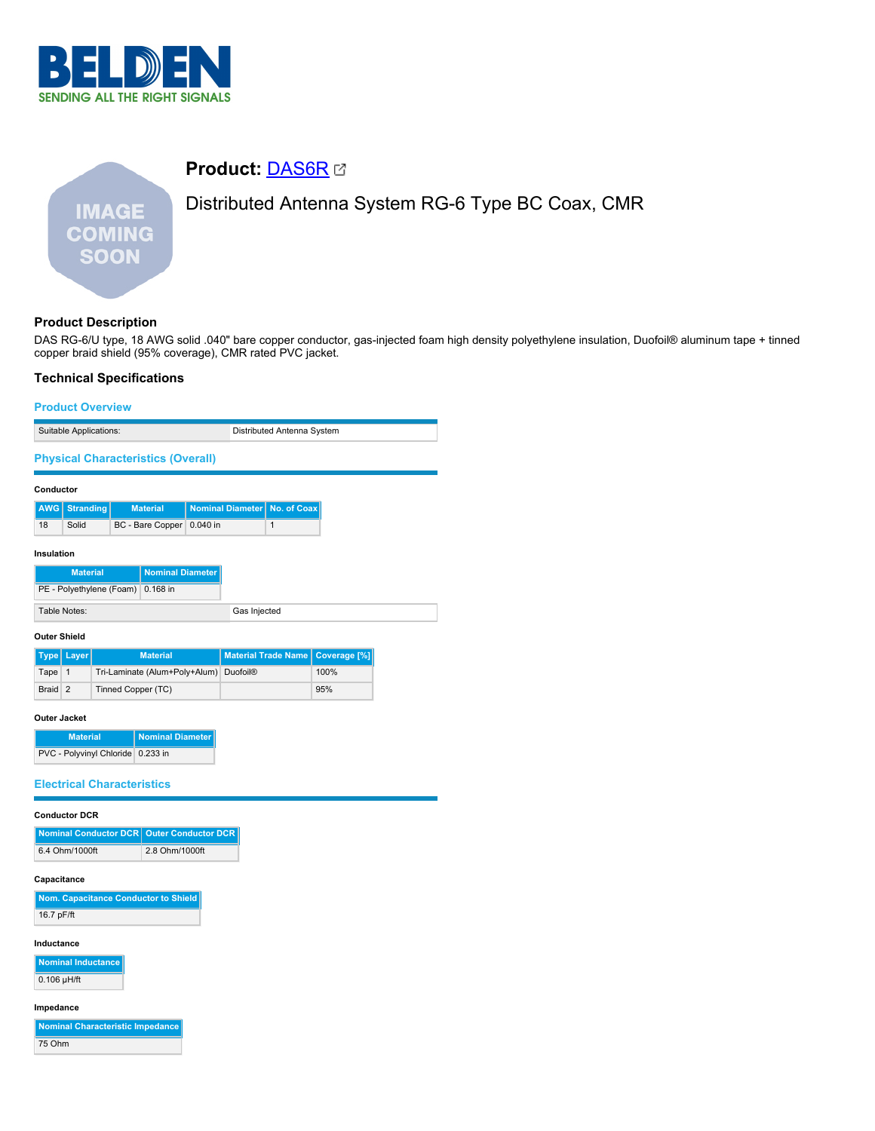

# **Product:** [DAS6R](https://catalog.belden.com/index.cfm?event=pd&p=PF_DAS6R&tab=downloads) Distributed Antenna System RG-6 Type BC Coax, CMR **IMAGE COMING SOON**

# **Product Description**

DAS RG-6/U type, 18 AWG solid .040" bare copper conductor, gas-injected foam high density polyethylene insulation, Duofoil® aluminum tape + tinned copper braid shield (95% coverage), CMR rated PVC jacket.

## **Technical Specifications**

#### **Product Overview**

| Suitable Applications:                    |                          |  |                         | Distributed Antenna System |  |                                |                                    |  |
|-------------------------------------------|--------------------------|--|-------------------------|----------------------------|--|--------------------------------|------------------------------------|--|
| <b>Physical Characteristics (Overall)</b> |                          |  |                         |                            |  |                                |                                    |  |
| Conductor                                 |                          |  |                         |                            |  |                                |                                    |  |
| <b>AWG</b>                                | <b>Stranding</b>         |  | <b>Material</b>         |                            |  | Nominal Diameter   No. of Coax |                                    |  |
| 18                                        | Solid                    |  | BC - Bare Copper        | 0.040 in                   |  | 1                              |                                    |  |
| Insulation                                |                          |  |                         |                            |  |                                |                                    |  |
|                                           | <b>Material</b>          |  | <b>Nominal Diameter</b> |                            |  |                                |                                    |  |
|                                           | PE - Polyethylene (Foam) |  | $0.168$ in              |                            |  |                                |                                    |  |
| Table Notes:                              |                          |  | Gas Injected            |                            |  |                                |                                    |  |
| <b>Outer Shield</b>                       |                          |  |                         |                            |  |                                |                                    |  |
|                                           | Type Laver               |  | <b>Matorial</b>         |                            |  |                                | Material Trade Name Coverage [0/1] |  |

|         | Type   Layer | <b>Material</b>                        | Material Trade Name   Coverage [%] |      |
|---------|--------------|----------------------------------------|------------------------------------|------|
| Tape    |              | Tri-Laminate (Alum+Poly+Alum) Duofoil® |                                    | 100% |
| Braid 2 |              | Tinned Copper (TC)                     |                                    | 95%  |

## **Outer Jacket**

| <b>Material</b>                   | Nominal Diameter |
|-----------------------------------|------------------|
| PVC - Polyvinyl Chloride 0.233 in |                  |

## **Electrical Characteristics**

**Conductor DCR**

| Nominal Conductor DCR Outer Conductor DCR |                |
|-------------------------------------------|----------------|
| 6.4 Ohm/1000ft                            | 2.8 Ohm/1000ft |

#### **Capacitance**

| Nom. Capacitance Conductor to Shield |
|--------------------------------------|
| 16.7 pF/ft                           |

## **Inductance**

| <b>Nominal Inductance</b> |
|---------------------------|
| $0.106$ µH/ft             |

#### **Impedance**

| <b>Nominal Characteristic Impedance</b> |
|-----------------------------------------|
| 75 Ohm                                  |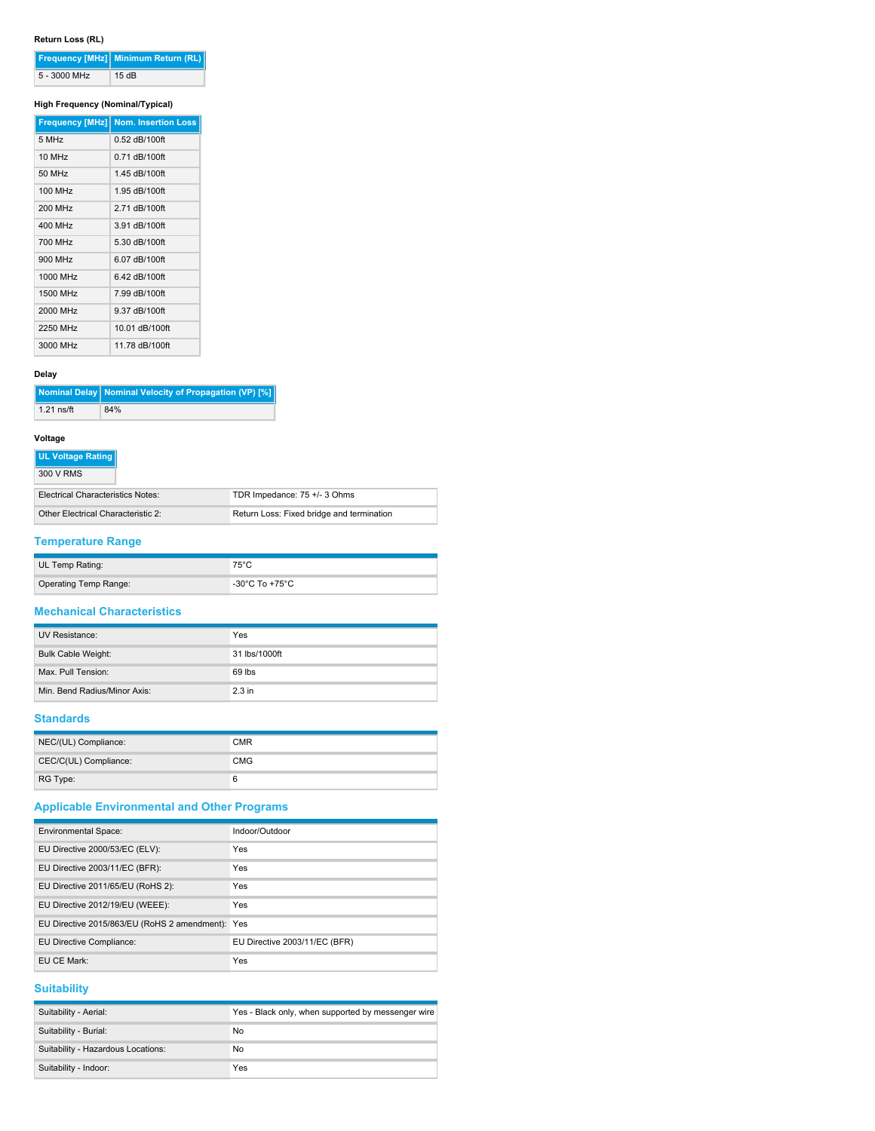# **Return Loss (RL)**

|              | Frequency [MHz] Minimum Return (RL) |
|--------------|-------------------------------------|
| 5 - 3000 MHz | 15dB                                |

## **High Frequency (Nominal/Typical)**

|                      | <b>Frequency [MHz] Nom. Insertion Loss</b> |
|----------------------|--------------------------------------------|
| 5 MHz                | 0.52 dB/100ft                              |
| $10$ MH <sub>z</sub> | 0.71 dB/100ft                              |
| 50 MHz               | 1.45 dB/100ft                              |
| 100 MHz              | 1.95 dB/100ft                              |
| 200 MHz              | 2.71 dB/100ft                              |
| 400 MHz              | 3.91 dB/100ft                              |
| 700 MHz              | 5.30 dB/100ft                              |
| 900 MHz              | 6.07 dB/100ft                              |
| 1000 MHz             | 6.42 dB/100ft                              |
| 1500 MHz             | 7.99 dB/100ft                              |
| 2000 MHz             | 9.37 dB/100ft                              |
| 2250 MHz             | 10.01 dB/100ft                             |
| 3000 MHz             | 11.78 dB/100ft                             |

#### **Delay**

|              | Nominal Delay   Nominal Velocity of Propagation (VP) [%] |
|--------------|----------------------------------------------------------|
| $1.21$ ns/ft | 84%                                                      |

#### **Voltage**

|  | <b>UL Voltage Rating</b> |
|--|--------------------------|
|  |                          |

| 300 V RMS                                |                                           |
|------------------------------------------|-------------------------------------------|
| <b>Electrical Characteristics Notes:</b> | TDR Impedance: 75 +/- 3 Ohms              |
| Other Electrical Characteristic 2:       | Return Loss: Fixed bridge and termination |

# **Temperature Range**

| UL Temp Rating:       | $75^{\circ}$ C                          |
|-----------------------|-----------------------------------------|
| Operating Temp Range: | $-30^{\circ}$ C To +75 $^{\circ}$ C $-$ |

## **Mechanical Characteristics**

| UV Resistance:               | Yes           |
|------------------------------|---------------|
| <b>Bulk Cable Weight:</b>    | 31 lbs/1000ft |
| Max. Pull Tension:           | 69 lbs        |
| Min. Bend Radius/Minor Axis: | $2.3$ in      |

#### **Standards**

| NEC/(UL) Compliance:  | CMR        |
|-----------------------|------------|
| CEC/C(UL) Compliance: | <b>CMG</b> |
| RG Type:              | 6          |

# **Applicable Environmental and Other Programs**

| <b>Environmental Space:</b>                      | Indoor/Outdoor                |
|--------------------------------------------------|-------------------------------|
| EU Directive 2000/53/EC (ELV):                   | Yes                           |
| EU Directive 2003/11/EC (BFR):                   | Yes                           |
| EU Directive 2011/65/EU (RoHS 2):                | Yes                           |
| EU Directive 2012/19/EU (WEEE):                  | Yes                           |
| EU Directive 2015/863/EU (RoHS 2 amendment): Yes |                               |
| EU Directive Compliance:                         | EU Directive 2003/11/EC (BFR) |
| EU CE Mark:                                      | Yes                           |

# **Suitability**

| Suitability - Aerial:              | Yes - Black only, when supported by messenger wire |
|------------------------------------|----------------------------------------------------|
| Suitability - Burial:              | No                                                 |
| Suitability - Hazardous Locations: | No                                                 |
| Suitability - Indoor:              | Yes                                                |